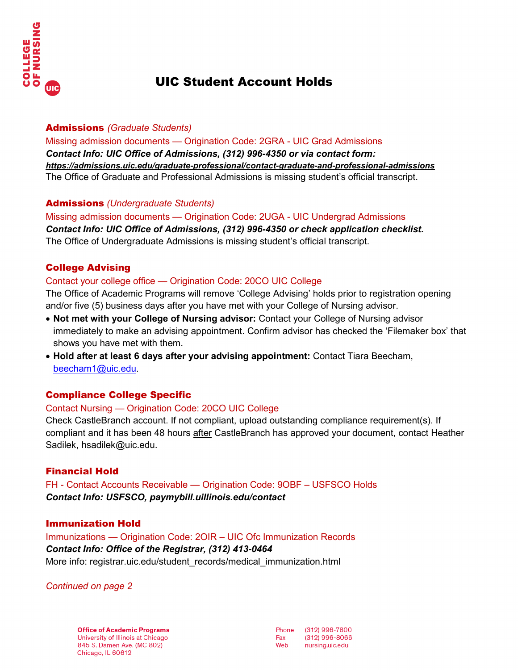

# UIC Student Account Holds

#### Admissions *(Graduate Students)*

Missing admission documents — Origination Code: 2GRA - UIC Grad Admissions *Contact Info: UIC Office of Admissions, (312) 996-4350 or via contact form: <https://admissions.uic.edu/graduate-professional/contact-graduate-and-professional-admissions>* The Office of Graduate and Professional Admissions is missing student's official transcript.

## Admissions *(Undergraduate Students)*

Missing admission documents — Origination Code: 2UGA - UIC Undergrad Admissions *Contact Info: UIC Office of Admissions, (312) 996-4350 or check application checklist.* The Office of Undergraduate Admissions is missing student's official transcript.

# College Advising

## Contact your college office — Origination Code: 20CO UIC College

The Office of Academic Programs will remove 'College Advising' holds prior to registration opening and/or five (5) business days after you have met with your College of Nursing advisor.

- **Not met with your College of Nursing advisor:** Contact your College of Nursing advisor immediately to make an advising appointment. Confirm advisor has checked the 'Filemaker box' that shows you have met with them.
- **Hold after at least 6 days after your advising appointment:** Contact Tiara Beecham, [beecham1@uic.edu.](mailto:beecham1@uic.edu)

## Compliance College Specific

## Contact Nursing — Origination Code: 20CO UIC College

Check CastleBranch account. If not compliant, upload outstanding compliance requirement(s). If compliant and it has been 48 hours after CastleBranch has approved your document, contact Heather Sadilek, [hsadilek@uic.edu.](mailto:hsadilek@uic.edu)

## Financial Hold

FH - Contact Accounts Receivable — Origination Code: 9OBF – USFSCO Holds *Contact Info: USFSCO, paymybill.uillinois.edu/contact*

## Immunization Hold

Immunizations — Origination Code: 2OIR – UIC Ofc Immunization Records *Contact Info: Office of the Registrar, (312) 413-0464* More info: registrar.uic.edu/student\_records/medical\_immunization.html

*Continued on page 2*

**Office of Academic Programs** University of Illinois at Chicago 845 S. Damen Ave. (MC 802) Chicago, IL 60612

Phone (312) 996-7800 (312) 996-8066 Fax Web nursing.uic.edu